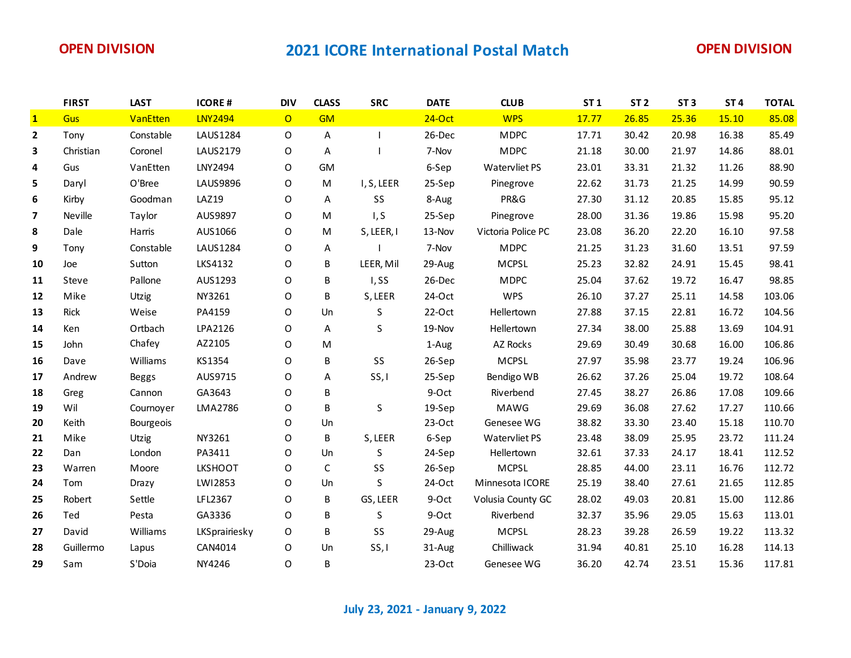|                          | <b>FIRST</b> | <b>LAST</b>  | <b>ICORE#</b>  | <b>DIV</b>     | <b>CLASS</b> | <b>SRC</b> | <b>DATE</b> | <b>CLUB</b>        | <b>ST1</b> | ST <sub>2</sub> | ST <sub>3</sub> | ST <sub>4</sub> | <b>TOTAL</b> |
|--------------------------|--------------|--------------|----------------|----------------|--------------|------------|-------------|--------------------|------------|-----------------|-----------------|-----------------|--------------|
| $\mathbf{1}$             | Gus          | VanEtten     | <b>LNY2494</b> | $\overline{O}$ | <b>GM</b>    |            | $24-Oct$    | <b>WPS</b>         | 17.77      | 26.85           | 25.36           | 15.10           | 85.08        |
| $\mathbf{2}$             | Tony         | Constable    | LAUS1284       | $\mathsf{O}$   | A            |            | 26-Dec      | <b>MDPC</b>        | 17.71      | 30.42           | 20.98           | 16.38           | 85.49        |
| 3                        | Christian    | Coronel      | LAUS2179       | O              | A            |            | 7-Nov       | <b>MDPC</b>        | 21.18      | 30.00           | 21.97           | 14.86           | 88.01        |
| 4                        | Gus          | VanEtten     | LNY2494        | O              | <b>GM</b>    |            | 6-Sep       | Watervliet PS      | 23.01      | 33.31           | 21.32           | 11.26           | 88.90        |
| 5                        | Daryl        | O'Bree       | LAUS9896       | $\mathsf{O}$   | M            | I, S, LEER | 25-Sep      | Pinegrove          | 22.62      | 31.73           | 21.25           | 14.99           | 90.59        |
| 6                        | Kirby        | Goodman      | <b>LAZ19</b>   | O              | A            | SS         | 8-Aug       | PR&G               | 27.30      | 31.12           | 20.85           | 15.85           | 95.12        |
| $\overline{\phantom{a}}$ | Neville      | Taylor       | AUS9897        | $\mathsf O$    | M            | I, S       | 25-Sep      | Pinegrove          | 28.00      | 31.36           | 19.86           | 15.98           | 95.20        |
| 8                        | Dale         | Harris       | AUS1066        | O              | M            | S, LEER, I | 13-Nov      | Victoria Police PC | 23.08      | 36.20           | 22.20           | 16.10           | 97.58        |
| 9                        | Tony         | Constable    | LAUS1284       | $\mathsf O$    | А            |            | 7-Nov       | <b>MDPC</b>        | 21.25      | 31.23           | 31.60           | 13.51           | 97.59        |
| 10                       | Joe          | Sutton       | LKS4132        | O              | B            | LEER, Mil  | 29-Aug      | <b>MCPSL</b>       | 25.23      | 32.82           | 24.91           | 15.45           | 98.41        |
| 11                       | Steve        | Pallone      | AUS1293        | $\mathsf O$    | В            | I, SS      | 26-Dec      | <b>MDPC</b>        | 25.04      | 37.62           | 19.72           | 16.47           | 98.85        |
| 12                       | Mike         | Utzig        | NY3261         | O              | B            | S, LEER    | 24-Oct      | <b>WPS</b>         | 26.10      | 37.27           | 25.11           | 14.58           | 103.06       |
| 13                       | Rick         | Weise        | PA4159         | $\mathsf O$    | Un           | S          | $22-Oct$    | Hellertown         | 27.88      | 37.15           | 22.81           | 16.72           | 104.56       |
| 14                       | Ken          | Ortbach      | LPA2126        | $\mathsf O$    | A            | S          | 19-Nov      | Hellertown         | 27.34      | 38.00           | 25.88           | 13.69           | 104.91       |
| 15                       | John         | Chafey       | AZ2105         | O              | M            |            | 1-Aug       | AZ Rocks           | 29.69      | 30.49           | 30.68           | 16.00           | 106.86       |
| 16                       | Dave         | Williams     | KS1354         | O              | B            | SS         | 26-Sep      | <b>MCPSL</b>       | 27.97      | 35.98           | 23.77           | 19.24           | 106.96       |
| 17                       | Andrew       | <b>Beggs</b> | AUS9715        | $\mathsf O$    | Α            | SS, I      | 25-Sep      | Bendigo WB         | 26.62      | 37.26           | 25.04           | 19.72           | 108.64       |
| 18                       | Greg         | Cannon       | GA3643         | $\mathsf O$    | B            |            | 9-Oct       | Riverbend          | 27.45      | 38.27           | 26.86           | 17.08           | 109.66       |
| 19                       | Wil          | Cournoyer    | LMA2786        | O              | B            | S          | 19-Sep      | MAWG               | 29.69      | 36.08           | 27.62           | 17.27           | 110.66       |
| 20                       | Keith        | Bourgeois    |                | $\Omega$       | Un           |            | $23-Oct$    | Genesee WG         | 38.82      | 33.30           | 23.40           | 15.18           | 110.70       |
| 21                       | Mike         | <b>Utzig</b> | NY3261         | $\mathsf O$    | B            | S, LEER    | 6-Sep       | Watervliet PS      | 23.48      | 38.09           | 25.95           | 23.72           | 111.24       |
| 22                       | Dan          | London       | PA3411         | $\mathsf O$    | Un           | S          | 24-Sep      | Hellertown         | 32.61      | 37.33           | 24.17           | 18.41           | 112.52       |
| 23                       | Warren       | Moore        | <b>LKSHOOT</b> | O              | C            | SS         | 26-Sep      | <b>MCPSL</b>       | 28.85      | 44.00           | 23.11           | 16.76           | 112.72       |
| 24                       | Tom          | Drazy        | LW12853        | O              | Un           | S          | 24-Oct      | Minnesota ICORE    | 25.19      | 38.40           | 27.61           | 21.65           | 112.85       |
| 25                       | Robert       | Settle       | LFL2367        | O              | B            | GS, LEER   | 9-Oct       | Volusia County GC  | 28.02      | 49.03           | 20.81           | 15.00           | 112.86       |
| 26                       | Ted          | Pesta        | GA3336         | $\mathsf{O}$   | B            | S          | 9-Oct       | Riverbend          | 32.37      | 35.96           | 29.05           | 15.63           | 113.01       |
| 27                       | David        | Williams     | LKSprairiesky  | 0              | B            | SS         | 29-Aug      | <b>MCPSL</b>       | 28.23      | 39.28           | 26.59           | 19.22           | 113.32       |
| 28                       | Guillermo    | Lapus        | CAN4014        | $\mathsf{O}$   | Un           | SS, I      | 31-Aug      | Chilliwack         | 31.94      | 40.81           | 25.10           | 16.28           | 114.13       |
| 29                       | Sam          | S'Doia       | NY4246         | 0              | B            |            | $23-Oct$    | Genesee WG         | 36.20      | 42.74           | 23.51           | 15.36           | 117.81       |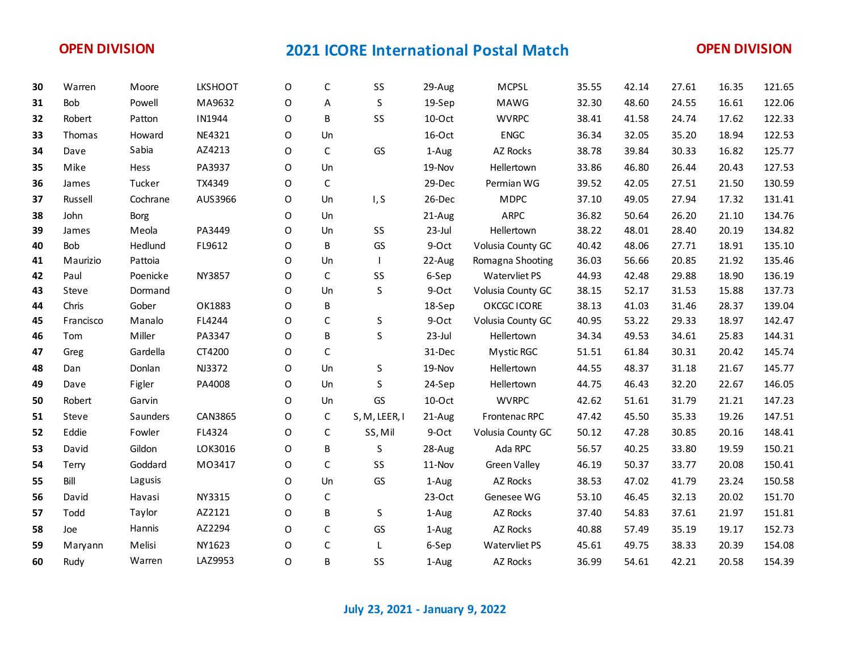| 30 | Warren     | Moore       | <b>LKSHOOT</b> | O           | C            | SS            | 29-Aug    | <b>MCPSL</b>      | 35.55 | 42.14 | 27.61 | 16.35 | 121.65 |
|----|------------|-------------|----------------|-------------|--------------|---------------|-----------|-------------------|-------|-------|-------|-------|--------|
| 31 | Bob        | Powell      | MA9632         | O           | Α            | S             | 19-Sep    | MAWG              | 32.30 | 48.60 | 24.55 | 16.61 | 122.06 |
| 32 | Robert     | Patton      | IN1944         | $\mathsf O$ | B            | SS            | 10-Oct    | <b>WVRPC</b>      | 38.41 | 41.58 | 24.74 | 17.62 | 122.33 |
| 33 | Thomas     | Howard      | NE4321         | $\mathsf O$ | Un           |               | 16-Oct    | ENGC              | 36.34 | 32.05 | 35.20 | 18.94 | 122.53 |
| 34 | Dave       | Sabia       | AZ4213         | O           | $\mathsf{C}$ | GS            | 1-Aug     | AZ Rocks          | 38.78 | 39.84 | 30.33 | 16.82 | 125.77 |
| 35 | Mike       | Hess        | PA3937         | O           | Un           |               | 19-Nov    | Hellertown        | 33.86 | 46.80 | 26.44 | 20.43 | 127.53 |
| 36 | James      | Tucker      | TX4349         | O           | $\mathsf C$  |               | 29-Dec    | Permian WG        | 39.52 | 42.05 | 27.51 | 21.50 | 130.59 |
| 37 | Russell    | Cochrane    | AUS3966        | O           | Un           | I, S          | 26-Dec    | <b>MDPC</b>       | 37.10 | 49.05 | 27.94 | 17.32 | 131.41 |
| 38 | John       | <b>Borg</b> |                | O           | Un           |               | 21-Aug    | <b>ARPC</b>       | 36.82 | 50.64 | 26.20 | 21.10 | 134.76 |
| 39 | James      | Meola       | PA3449         | $\Omega$    | Un           | SS            | $23$ -Jul | Hellertown        | 38.22 | 48.01 | 28.40 | 20.19 | 134.82 |
| 40 | <b>Bob</b> | Hedlund     | FL9612         | O           | B            | GS            | 9-Oct     | Volusia County GC | 40.42 | 48.06 | 27.71 | 18.91 | 135.10 |
| 41 | Maurizio   | Pattoia     |                | O           | Un           |               | 22-Aug    | Romagna Shooting  | 36.03 | 56.66 | 20.85 | 21.92 | 135.46 |
| 42 | Paul       | Poenicke    | NY3857         | O           | $\mathsf{C}$ | SS            | 6-Sep     | Watervliet PS     | 44.93 | 42.48 | 29.88 | 18.90 | 136.19 |
| 43 | Steve      | Dormand     |                | O           | Un           | S             | 9-Oct     | Volusia County GC | 38.15 | 52.17 | 31.53 | 15.88 | 137.73 |
| 44 | Chris      | Gober       | OK1883         | O           | B            |               | 18-Sep    | OKCGC ICORE       | 38.13 | 41.03 | 31.46 | 28.37 | 139.04 |
| 45 | Francisco  | Manalo      | FL4244         | O           | C            | S             | 9-Oct     | Volusia County GC | 40.95 | 53.22 | 29.33 | 18.97 | 142.47 |
| 46 | Tom        | Miller      | PA3347         | $\mathsf O$ | B            | S             | 23-Jul    | Hellertown        | 34.34 | 49.53 | 34.61 | 25.83 | 144.31 |
| 47 | Greg       | Gardella    | CT4200         | O           | C            |               | 31-Dec    | Mystic RGC        | 51.51 | 61.84 | 30.31 | 20.42 | 145.74 |
| 48 | Dan        | Donlan      | NJ3372         | O           | Un           | S             | 19-Nov    | Hellertown        | 44.55 | 48.37 | 31.18 | 21.67 | 145.77 |
| 49 | Dave       | Figler      | PA4008         | 0           | Un           | S             | 24-Sep    | Hellertown        | 44.75 | 46.43 | 32.20 | 22.67 | 146.05 |
| 50 | Robert     | Garvin      |                | O           | Un           | GS            | 10-Oct    | <b>WVRPC</b>      | 42.62 | 51.61 | 31.79 | 21.21 | 147.23 |
| 51 | Steve      | Saunders    | CAN3865        | $\mathsf O$ | $\mathsf{C}$ | S, M, LEER, I | 21-Aug    | Frontenac RPC     | 47.42 | 45.50 | 35.33 | 19.26 | 147.51 |
| 52 | Eddie      | Fowler      | FL4324         | O           | $\mathsf{C}$ | SS, Mil       | 9-Oct     | Volusia County GC | 50.12 | 47.28 | 30.85 | 20.16 | 148.41 |
| 53 | David      | Gildon      | LOK3016        | O           | B            | S             | 28-Aug    | Ada RPC           | 56.57 | 40.25 | 33.80 | 19.59 | 150.21 |
| 54 | Terry      | Goddard     | M03417         | $\mathsf O$ | $\mathsf C$  | SS            | 11-Nov    | Green Valley      | 46.19 | 50.37 | 33.77 | 20.08 | 150.41 |
| 55 | Bill       | Lagusis     |                | $\Omega$    | Un           | GS            | 1-Aug     | AZ Rocks          | 38.53 | 47.02 | 41.79 | 23.24 | 150.58 |
| 56 | David      | Havasi      | NY3315         | O           | $\mathsf C$  |               | $23-Oct$  | Genesee WG        | 53.10 | 46.45 | 32.13 | 20.02 | 151.70 |
| 57 | Todd       | Taylor      | AZ2121         | O           | B            | S             | 1-Aug     | AZ Rocks          | 37.40 | 54.83 | 37.61 | 21.97 | 151.81 |
| 58 | Joe        | Hannis      | AZ2294         | O           | C            | GS            | 1-Aug     | AZ Rocks          | 40.88 | 57.49 | 35.19 | 19.17 | 152.73 |
| 59 | Maryann    | Melisi      | NY1623         | O           | C            | L             | 6-Sep     | Watervliet PS     | 45.61 | 49.75 | 38.33 | 20.39 | 154.08 |
| 60 | Rudy       | Warren      | LAZ9953        | $\Omega$    | B            | SS            | 1-Aug     | AZ Rocks          | 36.99 | 54.61 | 42.21 | 20.58 | 154.39 |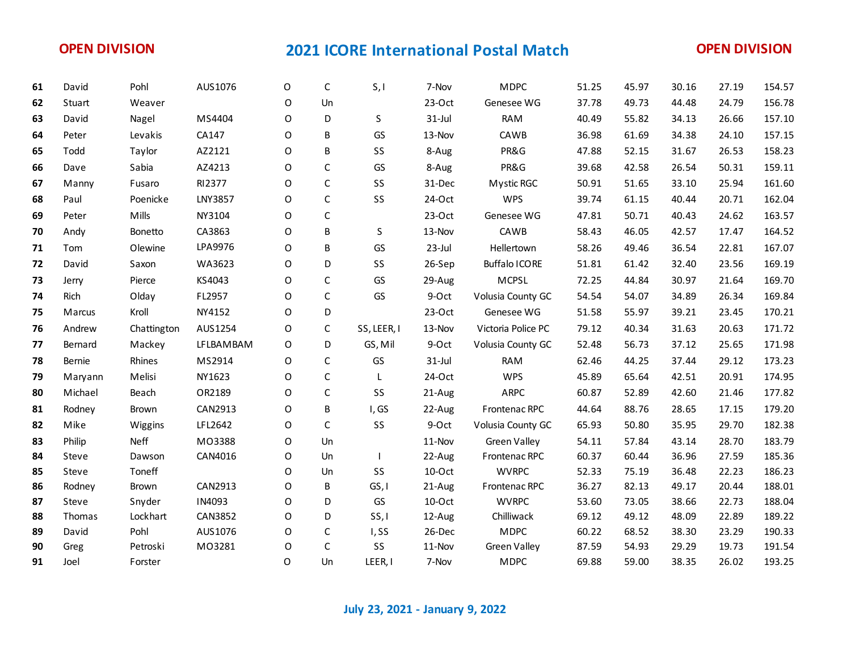| 61 | David   | Pohl         | AUS1076        | O       | C            | S, I        | 7-Nov     | <b>MDPC</b>          | 51.25 | 45.97 | 30.16 | 27.19 | 154.57 |
|----|---------|--------------|----------------|---------|--------------|-------------|-----------|----------------------|-------|-------|-------|-------|--------|
| 62 | Stuart  | Weaver       |                | O       | Un           |             | $23-Oct$  | Genesee WG           | 37.78 | 49.73 | 44.48 | 24.79 | 156.78 |
| 63 | David   | Nagel        | MS4404         | O       | D            | S           | $31$ -Jul | <b>RAM</b>           | 40.49 | 55.82 | 34.13 | 26.66 | 157.10 |
| 64 | Peter   | Levakis      | CA147          | O       | B            | GS          | 13-Nov    | CAWB                 | 36.98 | 61.69 | 34.38 | 24.10 | 157.15 |
| 65 | Todd    | Taylor       | AZ2121         | O       | B            | SS          | 8-Aug     | PR&G                 | 47.88 | 52.15 | 31.67 | 26.53 | 158.23 |
| 66 | Dave    | Sabia        | AZ4213         | O       | $\mathsf{C}$ | GS          | 8-Aug     | PR&G                 | 39.68 | 42.58 | 26.54 | 50.31 | 159.11 |
| 67 | Manny   | Fusaro       | RI2377         | O       | $\mathsf C$  | SS          | 31-Dec    | Mystic RGC           | 50.91 | 51.65 | 33.10 | 25.94 | 161.60 |
| 68 | Paul    | Poenicke     | LNY3857        | O       | $\mathsf{C}$ | SS          | 24-Oct    | <b>WPS</b>           | 39.74 | 61.15 | 40.44 | 20.71 | 162.04 |
| 69 | Peter   | Mills        | NY3104         | O       | $\mathsf C$  |             | $23-Oct$  | Genesee WG           | 47.81 | 50.71 | 40.43 | 24.62 | 163.57 |
| 70 | Andy    | Bonetto      | CA3863         | O       | B            | S           | 13-Nov    | CAWB                 | 58.43 | 46.05 | 42.57 | 17.47 | 164.52 |
| 71 | Tom     | Olewine      | LPA9976        | 0       | B            | GS          | $23$ -Jul | Hellertown           | 58.26 | 49.46 | 36.54 | 22.81 | 167.07 |
| 72 | David   | Saxon        | WA3623         | O       | D            | SS          | 26-Sep    | <b>Buffalo ICORE</b> | 51.81 | 61.42 | 32.40 | 23.56 | 169.19 |
| 73 | Jerry   | Pierce       | KS4043         | O       | C            | GS          | 29-Aug    | <b>MCPSL</b>         | 72.25 | 44.84 | 30.97 | 21.64 | 169.70 |
| 74 | Rich    | Olday        | FL2957         | O       | C            | GS          | 9-Oct     | Volusia County GC    | 54.54 | 54.07 | 34.89 | 26.34 | 169.84 |
| 75 | Marcus  | Kroll        | NY4152         | O       | D            |             | $23-Oct$  | Genesee WG           | 51.58 | 55.97 | 39.21 | 23.45 | 170.21 |
| 76 | Andrew  | Chattington  | AUS1254        | O       | C            | SS, LEER, I | 13-Nov    | Victoria Police PC   | 79.12 | 40.34 | 31.63 | 20.63 | 171.72 |
| 77 | Bernard | Mackey       | LFLBAMBAM      | 0       | D            | GS, Mil     | 9-Oct     | Volusia County GC    | 52.48 | 56.73 | 37.12 | 25.65 | 171.98 |
| 78 | Bernie  | Rhines       | MS2914         | O       | $\mathsf C$  | GS          | $31$ -Jul | <b>RAM</b>           | 62.46 | 44.25 | 37.44 | 29.12 | 173.23 |
| 79 | Maryann | Melisi       | NY1623         | O       | $\mathsf{C}$ | L           | 24-Oct    | <b>WPS</b>           | 45.89 | 65.64 | 42.51 | 20.91 | 174.95 |
| 80 | Michael | Beach        | OR2189         | $\circ$ | $\mathsf C$  | SS          | 21-Aug    | ARPC                 | 60.87 | 52.89 | 42.60 | 21.46 | 177.82 |
| 81 | Rodney  | <b>Brown</b> | CAN2913        | O       | B            | I, GS       | 22-Aug    | Frontenac RPC        | 44.64 | 88.76 | 28.65 | 17.15 | 179.20 |
| 82 | Mike    | Wiggins      | LFL2642        | 0       | C            | SS          | 9-Oct     | Volusia County GC    | 65.93 | 50.80 | 35.95 | 29.70 | 182.38 |
| 83 | Philip  | Neff         | M03388         | O       | Un           |             | 11-Nov    | <b>Green Valley</b>  | 54.11 | 57.84 | 43.14 | 28.70 | 183.79 |
| 84 | Steve   | Dawson       | CAN4016        | 0       | Un           |             | 22-Aug    | Frontenac RPC        | 60.37 | 60.44 | 36.96 | 27.59 | 185.36 |
| 85 | Steve   | Toneff       |                | O       | Un           | SS          | 10-Oct    | <b>WVRPC</b>         | 52.33 | 75.19 | 36.48 | 22.23 | 186.23 |
| 86 | Rodney  | Brown        | CAN2913        | $\circ$ | B            | GS, I       | 21-Aug    | Frontenac RPC        | 36.27 | 82.13 | 49.17 | 20.44 | 188.01 |
| 87 | Steve   | Snyder       | IN4093         | O       | D            | GS          | 10-Oct    | <b>WVRPC</b>         | 53.60 | 73.05 | 38.66 | 22.73 | 188.04 |
| 88 | Thomas  | Lockhart     | <b>CAN3852</b> | O       | D            | SS, I       | 12-Aug    | Chilliwack           | 69.12 | 49.12 | 48.09 | 22.89 | 189.22 |
| 89 | David   | Pohl         | AUS1076        | 0       | C            | I, SS       | 26-Dec    | <b>MDPC</b>          | 60.22 | 68.52 | 38.30 | 23.29 | 190.33 |
| 90 | Greg    | Petroski     | M03281         | O       | $\mathsf{C}$ | SS          | 11-Nov    | <b>Green Valley</b>  | 87.59 | 54.93 | 29.29 | 19.73 | 191.54 |
| 91 | Joel    | Forster      |                | O       | Un           | LEER, I     | 7-Nov     | <b>MDPC</b>          | 69.88 | 59.00 | 38.35 | 26.02 | 193.25 |